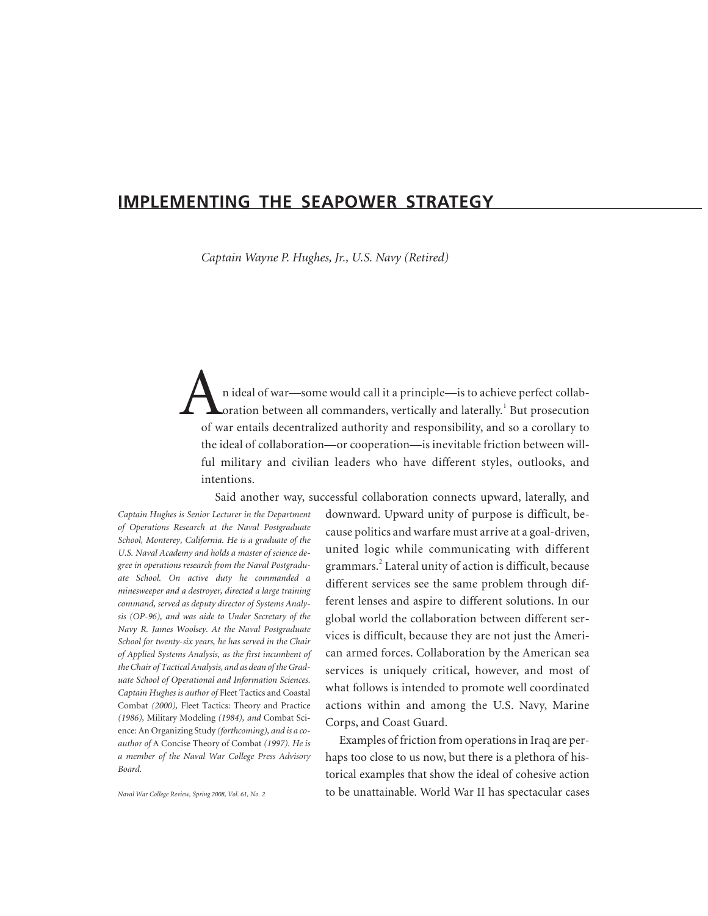# **IMPLEMENTING THE SEAPOWER STRATEGY**

*Captain Wayne P. Hughes, Jr., U.S. Navy (Retired)*

n ideal of war—some would call it a principle—is to achieve perfect collaboration between all commanders, vertically and laterally.<sup>1</sup> But prosecution of war entails decentralized authority and responsibility, and so a corollary to the ideal of collaboration—or cooperation—is inevitable friction between willful military and civilian leaders who have different styles, outlooks, and intentions.

Said another way, successful collaboration connects upward, laterally, and

*Captain Hughes is Senior Lecturer in the Department of Operations Research at the Naval Postgraduate School, Monterey, California. He is a graduate of the U.S. Naval Academy and holds a master of science degree in operations research from the Naval Postgraduate School. On active duty he commanded a minesweeper and a destroyer, directed a large training command, served as deputy director of Systems Analysis (OP-96), and was aide to Under Secretary of the Navy R. James Woolsey. At the Naval Postgraduate School for twenty-six years, he has served in the Chair of Applied Systems Analysis, as the first incumbent of the Chair of Tactical Analysis, and as dean of the Graduate School of Operational and Information Sciences. Captain Hughes is author of* Fleet Tactics and Coastal Combat *(2000),* Fleet Tactics: Theory and Practice *(1986),* Military Modeling *(1984), and* Combat Science: An Organizing Study *(forthcoming), and is a coauthor of* A Concise Theory of Combat *(1997). He is a member of the Naval War College Press Advisory Board.*

*Naval War College Review, Spring 2008, Vol. 61, No. 2*

downward. Upward unity of purpose is difficult, because politics and warfare must arrive at a goal-driven, united logic while communicating with different grammars.<sup>2</sup> Lateral unity of action is difficult, because different services see the same problem through different lenses and aspire to different solutions. In our global world the collaboration between different services is difficult, because they are not just the American armed forces. Collaboration by the American sea services is uniquely critical, however, and most of what follows is intended to promote well coordinated actions within and among the U.S. Navy, Marine Corps, and Coast Guard.

Examples of friction from operations in Iraq are perhaps too close to us now, but there is a plethora of historical examples that show the ideal of cohesive action to be unattainable. World War II has spectacular cases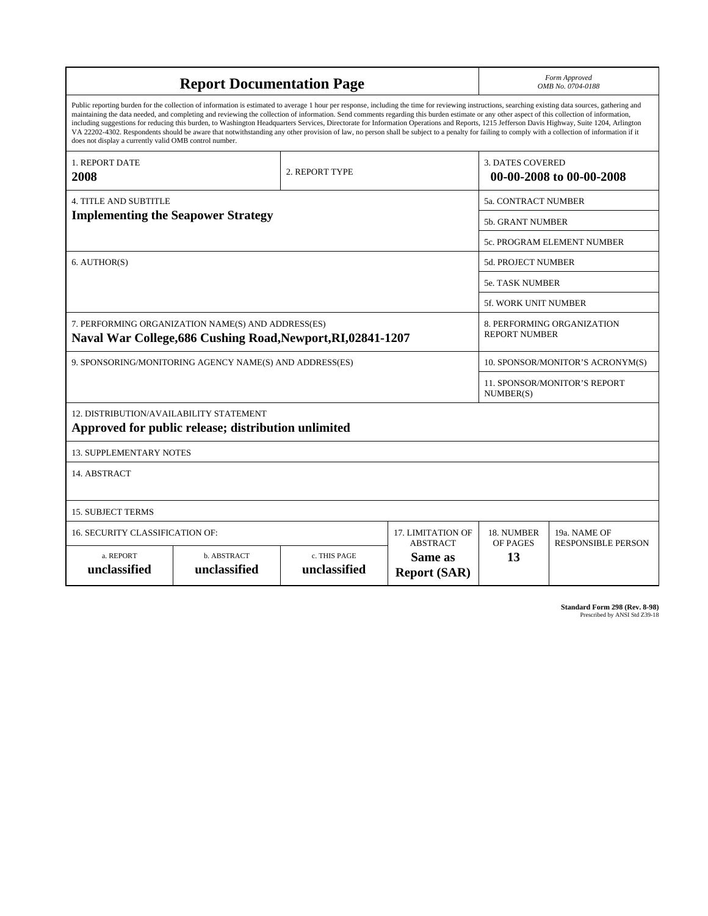| <b>Report Documentation Page</b>                                                                                                                                                                                                                                                                                                                                                                                                                                                                                                                                                                                                                                                                                                                                                                                                                                   |                             |                              |                                | Form Approved<br>OMB No. 0704-0188                 |                                           |
|--------------------------------------------------------------------------------------------------------------------------------------------------------------------------------------------------------------------------------------------------------------------------------------------------------------------------------------------------------------------------------------------------------------------------------------------------------------------------------------------------------------------------------------------------------------------------------------------------------------------------------------------------------------------------------------------------------------------------------------------------------------------------------------------------------------------------------------------------------------------|-----------------------------|------------------------------|--------------------------------|----------------------------------------------------|-------------------------------------------|
| Public reporting burden for the collection of information is estimated to average 1 hour per response, including the time for reviewing instructions, searching existing data sources, gathering and<br>maintaining the data needed, and completing and reviewing the collection of information. Send comments regarding this burden estimate or any other aspect of this collection of information,<br>including suggestions for reducing this burden, to Washington Headquarters Services, Directorate for Information Operations and Reports, 1215 Jefferson Davis Highway, Suite 1204, Arlington<br>VA 22202-4302. Respondents should be aware that notwithstanding any other provision of law, no person shall be subject to a penalty for failing to comply with a collection of information if it<br>does not display a currently valid OMB control number. |                             |                              |                                |                                                    |                                           |
| 1. REPORT DATE<br>2008                                                                                                                                                                                                                                                                                                                                                                                                                                                                                                                                                                                                                                                                                                                                                                                                                                             | 2. REPORT TYPE              |                              |                                | 3. DATES COVERED<br>00-00-2008 to 00-00-2008       |                                           |
| <b>4. TITLE AND SUBTITLE</b>                                                                                                                                                                                                                                                                                                                                                                                                                                                                                                                                                                                                                                                                                                                                                                                                                                       |                             |                              |                                | 5a. CONTRACT NUMBER                                |                                           |
| <b>Implementing the Seapower Strategy</b>                                                                                                                                                                                                                                                                                                                                                                                                                                                                                                                                                                                                                                                                                                                                                                                                                          |                             |                              |                                | <b>5b. GRANT NUMBER</b>                            |                                           |
|                                                                                                                                                                                                                                                                                                                                                                                                                                                                                                                                                                                                                                                                                                                                                                                                                                                                    |                             |                              |                                | 5c. PROGRAM ELEMENT NUMBER                         |                                           |
| 6. AUTHOR(S)                                                                                                                                                                                                                                                                                                                                                                                                                                                                                                                                                                                                                                                                                                                                                                                                                                                       |                             |                              |                                | 5d. PROJECT NUMBER                                 |                                           |
|                                                                                                                                                                                                                                                                                                                                                                                                                                                                                                                                                                                                                                                                                                                                                                                                                                                                    |                             |                              |                                | <b>5e. TASK NUMBER</b>                             |                                           |
|                                                                                                                                                                                                                                                                                                                                                                                                                                                                                                                                                                                                                                                                                                                                                                                                                                                                    |                             |                              |                                | 5f. WORK UNIT NUMBER                               |                                           |
| 7. PERFORMING ORGANIZATION NAME(S) AND ADDRESS(ES)<br>Naval War College, 686 Cushing Road, Newport, RI, 02841-1207                                                                                                                                                                                                                                                                                                                                                                                                                                                                                                                                                                                                                                                                                                                                                 |                             |                              |                                | 8. PERFORMING ORGANIZATION<br><b>REPORT NUMBER</b> |                                           |
| 9. SPONSORING/MONITORING AGENCY NAME(S) AND ADDRESS(ES)                                                                                                                                                                                                                                                                                                                                                                                                                                                                                                                                                                                                                                                                                                                                                                                                            |                             |                              |                                | 10. SPONSOR/MONITOR'S ACRONYM(S)                   |                                           |
|                                                                                                                                                                                                                                                                                                                                                                                                                                                                                                                                                                                                                                                                                                                                                                                                                                                                    |                             |                              |                                | 11. SPONSOR/MONITOR'S REPORT<br>NUMBER(S)          |                                           |
| 12. DISTRIBUTION/AVAILABILITY STATEMENT<br>Approved for public release; distribution unlimited                                                                                                                                                                                                                                                                                                                                                                                                                                                                                                                                                                                                                                                                                                                                                                     |                             |                              |                                |                                                    |                                           |
| <b>13. SUPPLEMENTARY NOTES</b>                                                                                                                                                                                                                                                                                                                                                                                                                                                                                                                                                                                                                                                                                                                                                                                                                                     |                             |                              |                                |                                                    |                                           |
| 14. ABSTRACT                                                                                                                                                                                                                                                                                                                                                                                                                                                                                                                                                                                                                                                                                                                                                                                                                                                       |                             |                              |                                |                                                    |                                           |
| <b>15. SUBJECT TERMS</b>                                                                                                                                                                                                                                                                                                                                                                                                                                                                                                                                                                                                                                                                                                                                                                                                                                           |                             |                              |                                |                                                    |                                           |
| <b>16. SECURITY CLASSIFICATION OF:</b><br>17. LIMITATION OF<br><b>ABSTRACT</b>                                                                                                                                                                                                                                                                                                                                                                                                                                                                                                                                                                                                                                                                                                                                                                                     |                             |                              |                                | 18. NUMBER<br>OF PAGES                             | 19a. NAME OF<br><b>RESPONSIBLE PERSON</b> |
| a. REPORT<br>unclassified                                                                                                                                                                                                                                                                                                                                                                                                                                                                                                                                                                                                                                                                                                                                                                                                                                          | b. ABSTRACT<br>unclassified | c. THIS PAGE<br>unclassified | Same as<br><b>Report (SAR)</b> | 13                                                 |                                           |

**Standard Form 298 (Rev. 8-98)**<br>Prescribed by ANSI Std Z39-18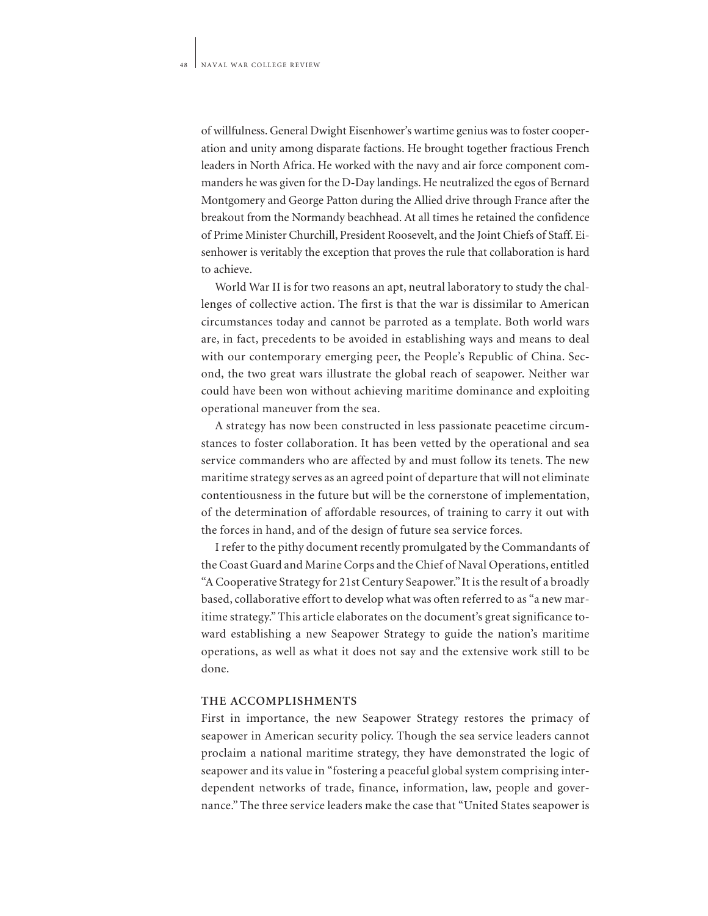of willfulness. General Dwight Eisenhower's wartime genius was to foster cooperation and unity among disparate factions. He brought together fractious French leaders in North Africa. He worked with the navy and air force component commanders he was given for the D-Day landings. He neutralized the egos of Bernard Montgomery and George Patton during the Allied drive through France after the breakout from the Normandy beachhead. At all times he retained the confidence of Prime Minister Churchill, President Roosevelt, and the Joint Chiefs of Staff. Eisenhower is veritably the exception that proves the rule that collaboration is hard to achieve.

World War II is for two reasons an apt, neutral laboratory to study the challenges of collective action. The first is that the war is dissimilar to American circumstances today and cannot be parroted as a template. Both world wars are, in fact, precedents to be avoided in establishing ways and means to deal with our contemporary emerging peer, the People's Republic of China. Second, the two great wars illustrate the global reach of seapower. Neither war could have been won without achieving maritime dominance and exploiting operational maneuver from the sea.

A strategy has now been constructed in less passionate peacetime circumstances to foster collaboration. It has been vetted by the operational and sea service commanders who are affected by and must follow its tenets. The new maritime strategy serves as an agreed point of departure that will not eliminate contentiousness in the future but will be the cornerstone of implementation, of the determination of affordable resources, of training to carry it out with the forces in hand, and of the design of future sea service forces.

I refer to the pithy document recently promulgated by the Commandants of the Coast Guard and Marine Corps and the Chief of Naval Operations, entitled "A Cooperative Strategy for 21st Century Seapower." It is the result of a broadly based, collaborative effort to develop what was often referred to as "a new maritime strategy." This article elaborates on the document's great significance toward establishing a new Seapower Strategy to guide the nation's maritime operations, as well as what it does not say and the extensive work still to be done.

### **THE ACCOMPLISHMENTS**

First in importance, the new Seapower Strategy restores the primacy of seapower in American security policy. Though the sea service leaders cannot proclaim a national maritime strategy, they have demonstrated the logic of seapower and its value in "fostering a peaceful global system comprising interdependent networks of trade, finance, information, law, people and governance." The three service leaders make the case that "United States seapower is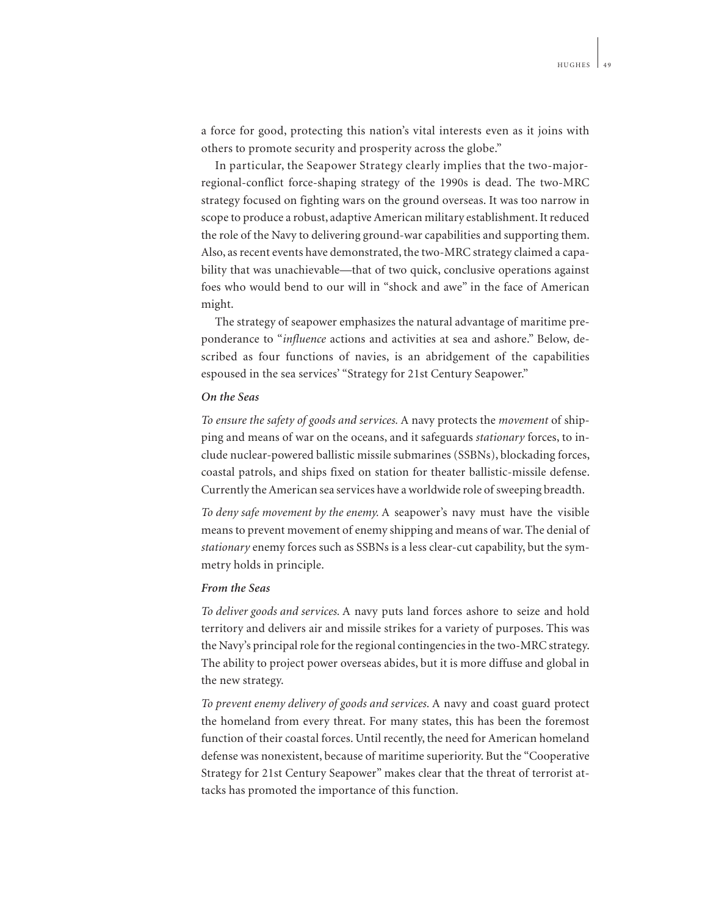a force for good, protecting this nation's vital interests even as it joins with others to promote security and prosperity across the globe."

In particular, the Seapower Strategy clearly implies that the two-majorregional-conflict force-shaping strategy of the 1990s is dead. The two-MRC strategy focused on fighting wars on the ground overseas. It was too narrow in scope to produce a robust, adaptive American military establishment. It reduced the role of the Navy to delivering ground-war capabilities and supporting them. Also, as recent events have demonstrated, the two-MRC strategy claimed a capability that was unachievable—that of two quick, conclusive operations against foes who would bend to our will in "shock and awe" in the face of American might.

The strategy of seapower emphasizes the natural advantage of maritime preponderance to "*influence* actions and activities at sea and ashore." Below, described as four functions of navies, is an abridgement of the capabilities espoused in the sea services' "Strategy for 21st Century Seapower."

#### *On the Seas*

*To ensure the safety of goods and services.* A navy protects the *movement* of shipping and means of war on the oceans, and it safeguards *stationary* forces, to include nuclear-powered ballistic missile submarines (SSBNs), blockading forces, coastal patrols, and ships fixed on station for theater ballistic-missile defense. Currently the American sea services have a worldwide role of sweeping breadth.

*To deny safe movement by the enemy.* A seapower's navy must have the visible means to prevent movement of enemy shipping and means of war. The denial of *stationary* enemy forces such as SSBNs is a less clear-cut capability, but the symmetry holds in principle.

### *From the Seas*

*To deliver goods and services.* A navy puts land forces ashore to seize and hold territory and delivers air and missile strikes for a variety of purposes. This was the Navy's principal role for the regional contingencies in the two-MRC strategy. The ability to project power overseas abides, but it is more diffuse and global in the new strategy.

*To prevent enemy delivery of goods and services.* A navy and coast guard protect the homeland from every threat. For many states, this has been the foremost function of their coastal forces. Until recently, the need for American homeland defense was nonexistent, because of maritime superiority. But the "Cooperative Strategy for 21st Century Seapower" makes clear that the threat of terrorist attacks has promoted the importance of this function.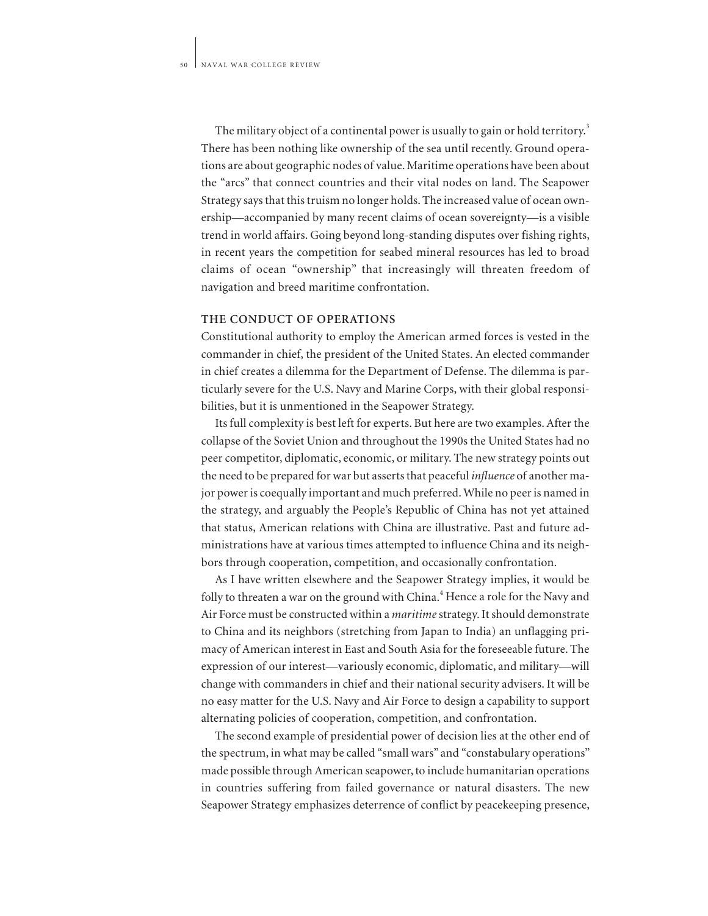The military object of a continental power is usually to gain or hold territory.<sup>3</sup> There has been nothing like ownership of the sea until recently. Ground operations are about geographic nodes of value. Maritime operations have been about the "arcs" that connect countries and their vital nodes on land. The Seapower Strategy says that this truism no longer holds. The increased value of ocean ownership—accompanied by many recent claims of ocean sovereignty—is a visible trend in world affairs. Going beyond long-standing disputes over fishing rights, in recent years the competition for seabed mineral resources has led to broad claims of ocean "ownership" that increasingly will threaten freedom of navigation and breed maritime confrontation.

### **THE CONDUCT OF OPERATIONS**

Constitutional authority to employ the American armed forces is vested in the commander in chief, the president of the United States. An elected commander in chief creates a dilemma for the Department of Defense. The dilemma is particularly severe for the U.S. Navy and Marine Corps, with their global responsibilities, but it is unmentioned in the Seapower Strategy.

Its full complexity is best left for experts. But here are two examples. After the collapse of the Soviet Union and throughout the 1990s the United States had no peer competitor, diplomatic, economic, or military. The new strategy points out the need to be prepared for war but asserts that peaceful *influence* of another major power is coequally important and much preferred. While no peer is named in the strategy, and arguably the People's Republic of China has not yet attained that status, American relations with China are illustrative. Past and future administrations have at various times attempted to influence China and its neighbors through cooperation, competition, and occasionally confrontation.

As I have written elsewhere and the Seapower Strategy implies, it would be folly to threaten a war on the ground with China.<sup>4</sup> Hence a role for the Navy and Air Force must be constructed within a *maritime*strategy. It should demonstrate to China and its neighbors (stretching from Japan to India) an unflagging primacy of American interest in East and South Asia for the foreseeable future. The expression of our interest—variously economic, diplomatic, and military—will change with commanders in chief and their national security advisers. It will be no easy matter for the U.S. Navy and Air Force to design a capability to support alternating policies of cooperation, competition, and confrontation.

The second example of presidential power of decision lies at the other end of the spectrum, in what may be called "small wars" and "constabulary operations" made possible through American seapower, to include humanitarian operations in countries suffering from failed governance or natural disasters. The new Seapower Strategy emphasizes deterrence of conflict by peacekeeping presence,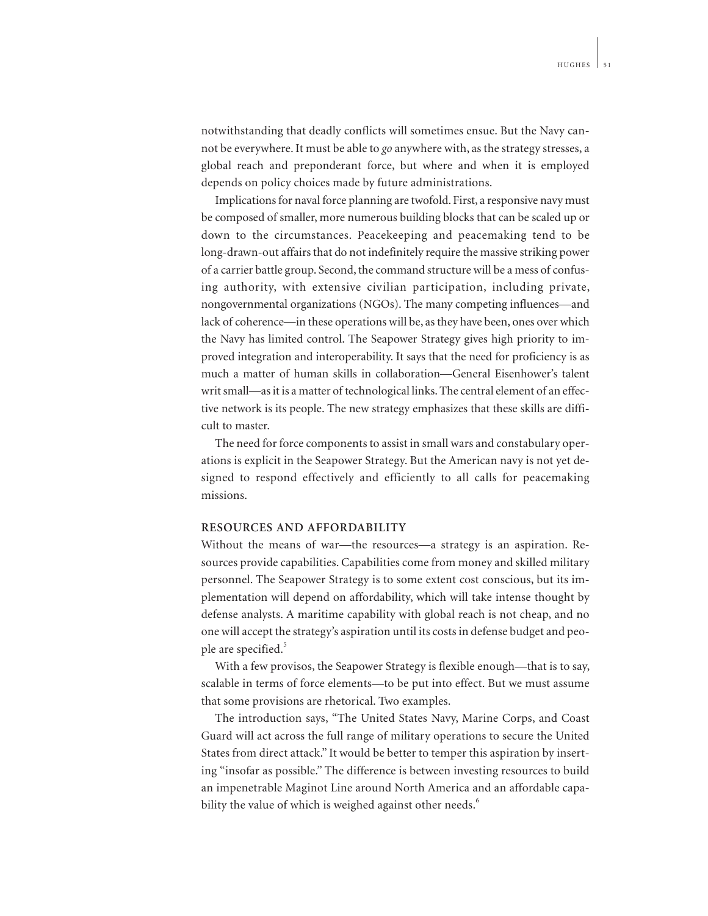notwithstanding that deadly conflicts will sometimes ensue. But the Navy cannot be everywhere. It must be able to *go* anywhere with, as the strategy stresses, a global reach and preponderant force, but where and when it is employed depends on policy choices made by future administrations.

Implications for naval force planning are twofold. First, a responsive navy must be composed of smaller, more numerous building blocks that can be scaled up or down to the circumstances. Peacekeeping and peacemaking tend to be long-drawn-out affairs that do not indefinitely require the massive striking power of a carrier battle group. Second, the command structure will be a mess of confusing authority, with extensive civilian participation, including private, nongovernmental organizations (NGOs). The many competing influences—and lack of coherence—in these operations will be, as they have been, ones over which the Navy has limited control. The Seapower Strategy gives high priority to improved integration and interoperability. It says that the need for proficiency is as much a matter of human skills in collaboration—General Eisenhower's talent writ small—as it is a matter of technological links. The central element of an effective network is its people. The new strategy emphasizes that these skills are difficult to master.

The need for force components to assist in small wars and constabulary operations is explicit in the Seapower Strategy. But the American navy is not yet designed to respond effectively and efficiently to all calls for peacemaking missions.

### **RESOURCES AND AFFORDABILITY**

Without the means of war—the resources—a strategy is an aspiration. Resources provide capabilities. Capabilities come from money and skilled military personnel. The Seapower Strategy is to some extent cost conscious, but its implementation will depend on affordability, which will take intense thought by defense analysts. A maritime capability with global reach is not cheap, and no one will accept the strategy's aspiration until its costs in defense budget and people are specified.<sup>5</sup>

With a few provisos, the Seapower Strategy is flexible enough—that is to say, scalable in terms of force elements—to be put into effect. But we must assume that some provisions are rhetorical. Two examples.

The introduction says, "The United States Navy, Marine Corps, and Coast Guard will act across the full range of military operations to secure the United States from direct attack." It would be better to temper this aspiration by inserting "insofar as possible." The difference is between investing resources to build an impenetrable Maginot Line around North America and an affordable capability the value of which is weighed against other needs.<sup>8</sup>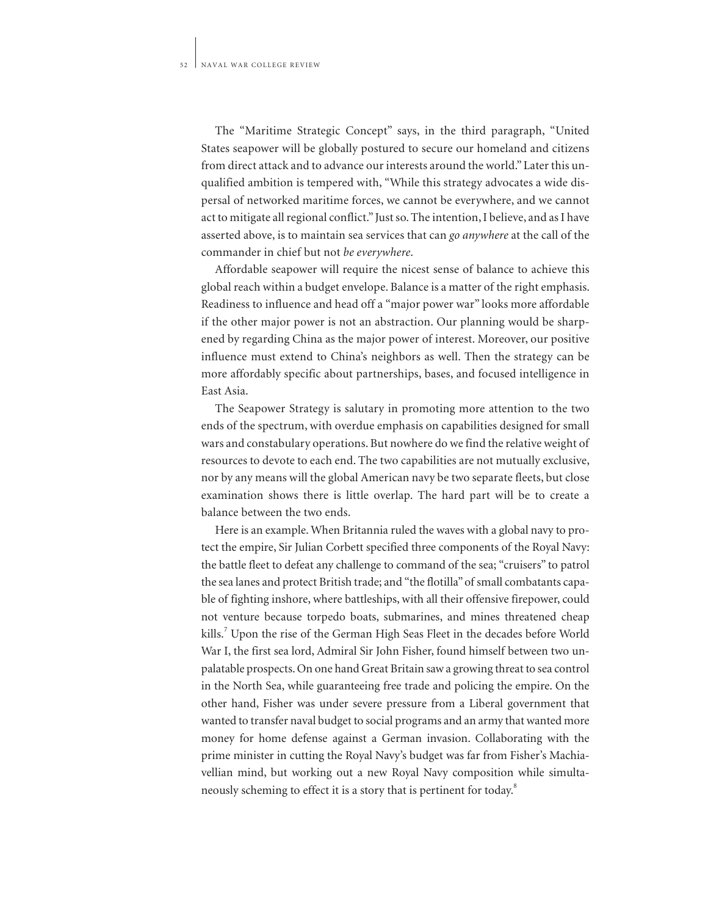The "Maritime Strategic Concept" says, in the third paragraph, "United States seapower will be globally postured to secure our homeland and citizens from direct attack and to advance our interests around the world." Later this unqualified ambition is tempered with, "While this strategy advocates a wide dispersal of networked maritime forces, we cannot be everywhere, and we cannot act to mitigate all regional conflict." Just so. The intention, I believe, and as I have asserted above, is to maintain sea services that can *go anywhere* at the call of the commander in chief but not *be everywhere*.

Affordable seapower will require the nicest sense of balance to achieve this global reach within a budget envelope. Balance is a matter of the right emphasis. Readiness to influence and head off a "major power war" looks more affordable if the other major power is not an abstraction. Our planning would be sharpened by regarding China as the major power of interest. Moreover, our positive influence must extend to China's neighbors as well. Then the strategy can be more affordably specific about partnerships, bases, and focused intelligence in East Asia.

The Seapower Strategy is salutary in promoting more attention to the two ends of the spectrum, with overdue emphasis on capabilities designed for small wars and constabulary operations. But nowhere do we find the relative weight of resources to devote to each end. The two capabilities are not mutually exclusive, nor by any means will the global American navy be two separate fleets, but close examination shows there is little overlap. The hard part will be to create a balance between the two ends.

Here is an example. When Britannia ruled the waves with a global navy to protect the empire, Sir Julian Corbett specified three components of the Royal Navy: the battle fleet to defeat any challenge to command of the sea; "cruisers" to patrol the sea lanes and protect British trade; and "the flotilla" of small combatants capable of fighting inshore, where battleships, with all their offensive firepower, could not venture because torpedo boats, submarines, and mines threatened cheap kills.<sup>7</sup> Upon the rise of the German High Seas Fleet in the decades before World War I, the first sea lord, Admiral Sir John Fisher, found himself between two unpalatable prospects. On one hand Great Britain saw a growing threat to sea control in the North Sea, while guaranteeing free trade and policing the empire. On the other hand, Fisher was under severe pressure from a Liberal government that wanted to transfer naval budget to social programs and an army that wanted more money for home defense against a German invasion. Collaborating with the prime minister in cutting the Royal Navy's budget was far from Fisher's Machiavellian mind, but working out a new Royal Navy composition while simultaneously scheming to effect it is a story that is pertinent for today.<sup>8</sup>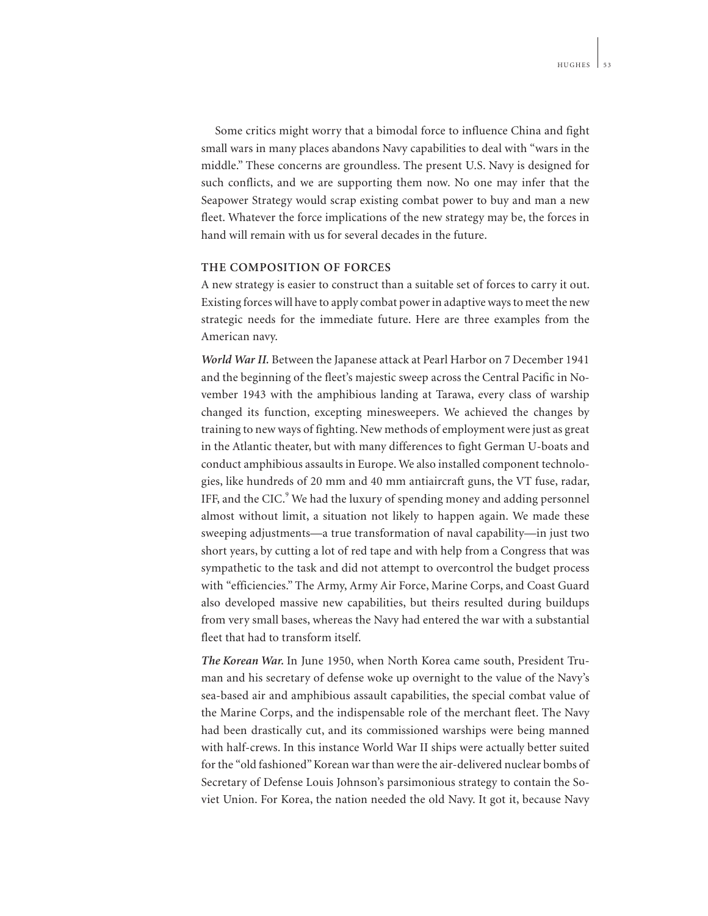Some critics might worry that a bimodal force to influence China and fight small wars in many places abandons Navy capabilities to deal with "wars in the middle." These concerns are groundless. The present U.S. Navy is designed for such conflicts, and we are supporting them now. No one may infer that the Seapower Strategy would scrap existing combat power to buy and man a new fleet. Whatever the force implications of the new strategy may be, the forces in hand will remain with us for several decades in the future.

## **THE COMPOSITION OF FORCES**

A new strategy is easier to construct than a suitable set of forces to carry it out. Existing forces will have to apply combat power in adaptive ways to meet the new strategic needs for the immediate future. Here are three examples from the American navy.

*World War II.* Between the Japanese attack at Pearl Harbor on 7 December 1941 and the beginning of the fleet's majestic sweep across the Central Pacific in November 1943 with the amphibious landing at Tarawa, every class of warship changed its function, excepting minesweepers. We achieved the changes by training to new ways of fighting. New methods of employment were just as great in the Atlantic theater, but with many differences to fight German U-boats and conduct amphibious assaults in Europe. We also installed component technologies, like hundreds of 20 mm and 40 mm antiaircraft guns, the VT fuse, radar, IFF, and the CIC.<sup>9</sup> We had the luxury of spending money and adding personnel almost without limit, a situation not likely to happen again. We made these sweeping adjustments—a true transformation of naval capability—in just two short years, by cutting a lot of red tape and with help from a Congress that was sympathetic to the task and did not attempt to overcontrol the budget process with "efficiencies." The Army, Army Air Force, Marine Corps, and Coast Guard also developed massive new capabilities, but theirs resulted during buildups from very small bases, whereas the Navy had entered the war with a substantial fleet that had to transform itself.

*The Korean War.* In June 1950, when North Korea came south, President Truman and his secretary of defense woke up overnight to the value of the Navy's sea-based air and amphibious assault capabilities, the special combat value of the Marine Corps, and the indispensable role of the merchant fleet. The Navy had been drastically cut, and its commissioned warships were being manned with half-crews. In this instance World War II ships were actually better suited for the "old fashioned" Korean war than were the air-delivered nuclear bombs of Secretary of Defense Louis Johnson's parsimonious strategy to contain the Soviet Union. For Korea, the nation needed the old Navy. It got it, because Navy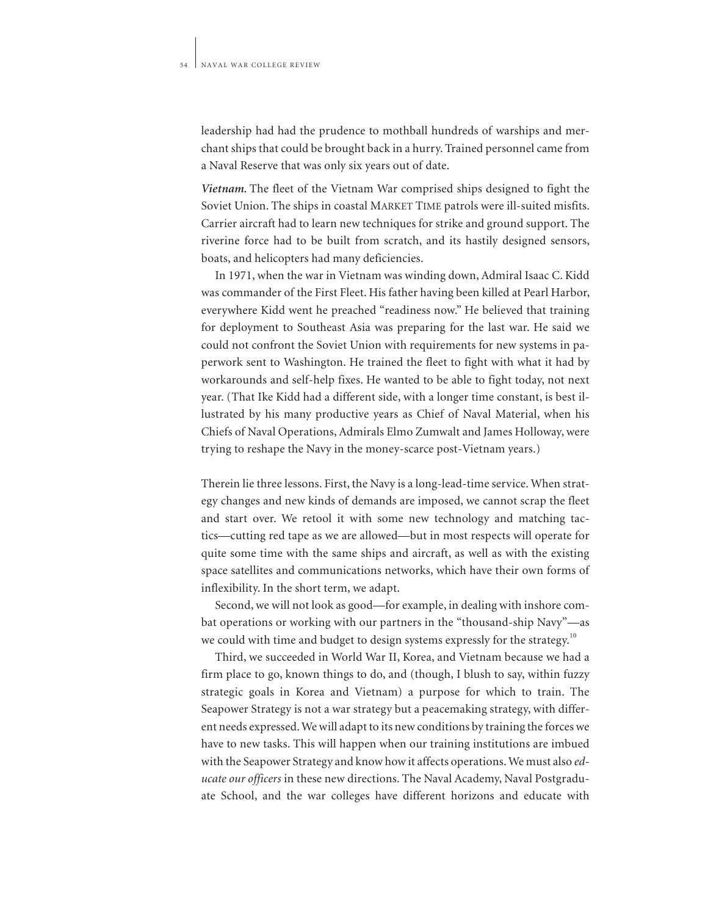leadership had had the prudence to mothball hundreds of warships and merchant ships that could be brought back in a hurry. Trained personnel came from a Naval Reserve that was only six years out of date.

*Vietnam.* The fleet of the Vietnam War comprised ships designed to fight the Soviet Union. The ships in coastal MARKET TIME patrols were ill-suited misfits. Carrier aircraft had to learn new techniques for strike and ground support. The riverine force had to be built from scratch, and its hastily designed sensors, boats, and helicopters had many deficiencies.

In 1971, when the war in Vietnam was winding down, Admiral Isaac C. Kidd was commander of the First Fleet. His father having been killed at Pearl Harbor, everywhere Kidd went he preached "readiness now." He believed that training for deployment to Southeast Asia was preparing for the last war. He said we could not confront the Soviet Union with requirements for new systems in paperwork sent to Washington. He trained the fleet to fight with what it had by workarounds and self-help fixes. He wanted to be able to fight today, not next year. (That Ike Kidd had a different side, with a longer time constant, is best illustrated by his many productive years as Chief of Naval Material, when his Chiefs of Naval Operations, Admirals Elmo Zumwalt and James Holloway, were trying to reshape the Navy in the money-scarce post-Vietnam years.)

Therein lie three lessons. First, the Navy is a long-lead-time service. When strategy changes and new kinds of demands are imposed, we cannot scrap the fleet and start over. We retool it with some new technology and matching tactics—cutting red tape as we are allowed—but in most respects will operate for quite some time with the same ships and aircraft, as well as with the existing space satellites and communications networks, which have their own forms of inflexibility. In the short term, we adapt.

Second, we will not look as good—for example, in dealing with inshore combat operations or working with our partners in the "thousand-ship Navy"—as we could with time and budget to design systems expressly for the strategy.<sup>10</sup>

Third, we succeeded in World War II, Korea, and Vietnam because we had a firm place to go, known things to do, and (though, I blush to say, within fuzzy strategic goals in Korea and Vietnam) a purpose for which to train. The Seapower Strategy is not a war strategy but a peacemaking strategy, with different needs expressed. We will adapt to its new conditions by training the forces we have to new tasks. This will happen when our training institutions are imbued with the Seapower Strategy and know how it affects operations. We must also *educate our officers* in these new directions. The Naval Academy, Naval Postgraduate School, and the war colleges have different horizons and educate with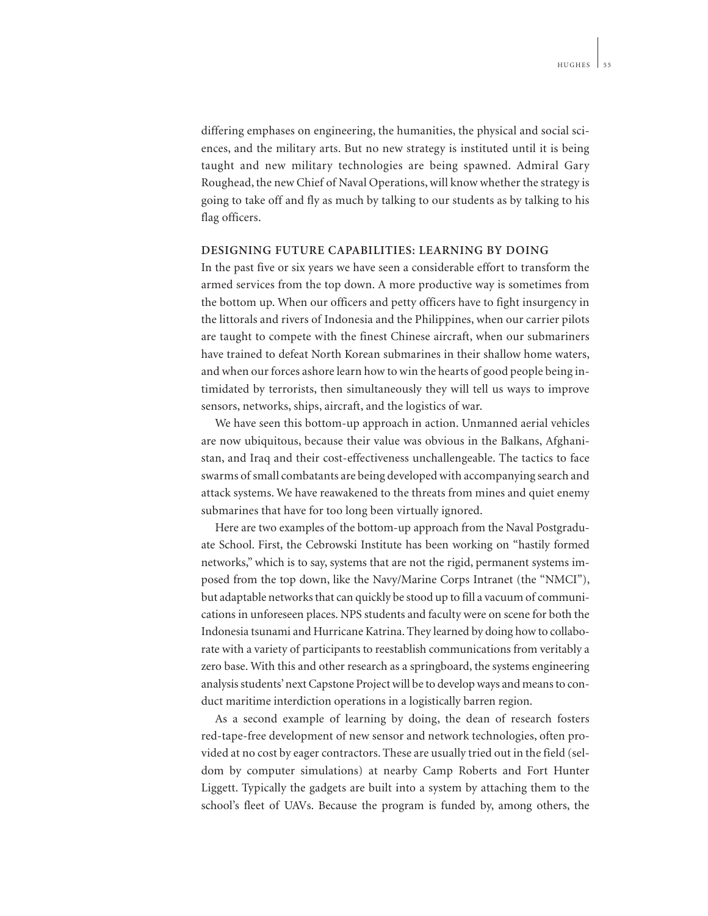differing emphases on engineering, the humanities, the physical and social sciences, and the military arts. But no new strategy is instituted until it is being taught and new military technologies are being spawned. Admiral Gary Roughead, the new Chief of Naval Operations, will know whether the strategy is going to take off and fly as much by talking to our students as by talking to his flag officers.

#### **DESIGNING FUTURE CAPABILITIES: LEARNING BY DOING**

In the past five or six years we have seen a considerable effort to transform the armed services from the top down. A more productive way is sometimes from the bottom up. When our officers and petty officers have to fight insurgency in the littorals and rivers of Indonesia and the Philippines, when our carrier pilots are taught to compete with the finest Chinese aircraft, when our submariners have trained to defeat North Korean submarines in their shallow home waters, and when our forces ashore learn how to win the hearts of good people being intimidated by terrorists, then simultaneously they will tell us ways to improve sensors, networks, ships, aircraft, and the logistics of war.

We have seen this bottom-up approach in action. Unmanned aerial vehicles are now ubiquitous, because their value was obvious in the Balkans, Afghanistan, and Iraq and their cost-effectiveness unchallengeable. The tactics to face swarms of small combatants are being developed with accompanying search and attack systems. We have reawakened to the threats from mines and quiet enemy submarines that have for too long been virtually ignored.

Here are two examples of the bottom-up approach from the Naval Postgraduate School. First, the Cebrowski Institute has been working on "hastily formed networks," which is to say, systems that are not the rigid, permanent systems imposed from the top down, like the Navy/Marine Corps Intranet (the "NMCI"), but adaptable networks that can quickly be stood up to fill a vacuum of communications in unforeseen places. NPS students and faculty were on scene for both the Indonesia tsunami and Hurricane Katrina. They learned by doing how to collaborate with a variety of participants to reestablish communications from veritably a zero base. With this and other research as a springboard, the systems engineering analysis students' next Capstone Project will be to develop ways and means to conduct maritime interdiction operations in a logistically barren region.

As a second example of learning by doing, the dean of research fosters red-tape-free development of new sensor and network technologies, often provided at no cost by eager contractors. These are usually tried out in the field (seldom by computer simulations) at nearby Camp Roberts and Fort Hunter Liggett. Typically the gadgets are built into a system by attaching them to the school's fleet of UAVs. Because the program is funded by, among others, the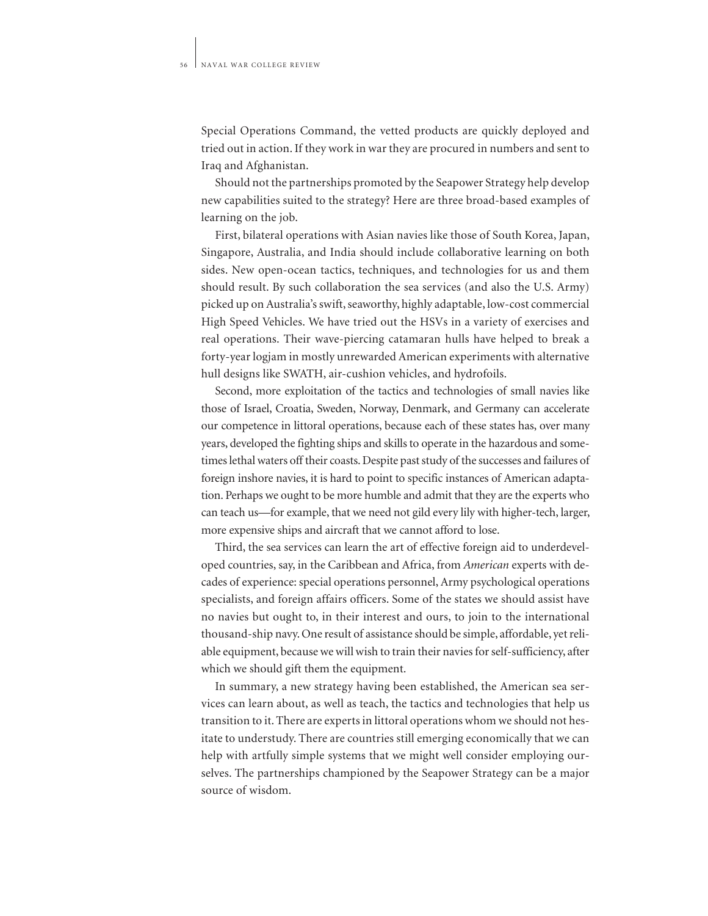Special Operations Command, the vetted products are quickly deployed and tried out in action. If they work in war they are procured in numbers and sent to Iraq and Afghanistan.

Should not the partnerships promoted by the Seapower Strategy help develop new capabilities suited to the strategy? Here are three broad-based examples of learning on the job.

First, bilateral operations with Asian navies like those of South Korea, Japan, Singapore, Australia, and India should include collaborative learning on both sides. New open-ocean tactics, techniques, and technologies for us and them should result. By such collaboration the sea services (and also the U.S. Army) picked up on Australia's swift, seaworthy, highly adaptable, low-cost commercial High Speed Vehicles. We have tried out the HSVs in a variety of exercises and real operations. Their wave-piercing catamaran hulls have helped to break a forty-year logjam in mostly unrewarded American experiments with alternative hull designs like SWATH, air-cushion vehicles, and hydrofoils.

Second, more exploitation of the tactics and technologies of small navies like those of Israel, Croatia, Sweden, Norway, Denmark, and Germany can accelerate our competence in littoral operations, because each of these states has, over many years, developed the fighting ships and skills to operate in the hazardous and sometimes lethal waters off their coasts. Despite past study of the successes and failures of foreign inshore navies, it is hard to point to specific instances of American adaptation. Perhaps we ought to be more humble and admit that they are the experts who can teach us—for example, that we need not gild every lily with higher-tech, larger, more expensive ships and aircraft that we cannot afford to lose.

Third, the sea services can learn the art of effective foreign aid to underdeveloped countries, say, in the Caribbean and Africa, from *American* experts with decades of experience: special operations personnel, Army psychological operations specialists, and foreign affairs officers. Some of the states we should assist have no navies but ought to, in their interest and ours, to join to the international thousand-ship navy. One result of assistance should be simple, affordable, yet reliable equipment, because we will wish to train their navies for self-sufficiency, after which we should gift them the equipment.

In summary, a new strategy having been established, the American sea services can learn about, as well as teach, the tactics and technologies that help us transition to it. There are experts in littoral operations whom we should not hesitate to understudy. There are countries still emerging economically that we can help with artfully simple systems that we might well consider employing ourselves. The partnerships championed by the Seapower Strategy can be a major source of wisdom.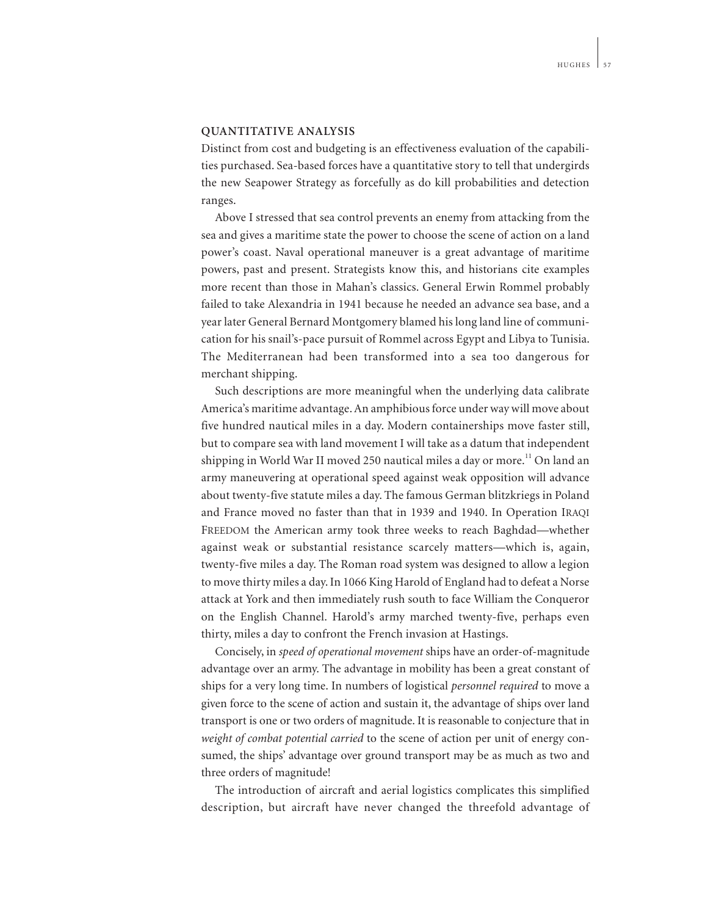### **QUANTITATIVE ANALYSIS**

Distinct from cost and budgeting is an effectiveness evaluation of the capabilities purchased. Sea-based forces have a quantitative story to tell that undergirds the new Seapower Strategy as forcefully as do kill probabilities and detection ranges.

Above I stressed that sea control prevents an enemy from attacking from the sea and gives a maritime state the power to choose the scene of action on a land power's coast. Naval operational maneuver is a great advantage of maritime powers, past and present. Strategists know this, and historians cite examples more recent than those in Mahan's classics. General Erwin Rommel probably failed to take Alexandria in 1941 because he needed an advance sea base, and a year later General Bernard Montgomery blamed his long land line of communication for his snail's-pace pursuit of Rommel across Egypt and Libya to Tunisia. The Mediterranean had been transformed into a sea too dangerous for merchant shipping.

Such descriptions are more meaningful when the underlying data calibrate America's maritime advantage. An amphibious force under way will move about five hundred nautical miles in a day. Modern containerships move faster still, but to compare sea with land movement I will take as a datum that independent shipping in World War II moved 250 nautical miles a day or more.<sup>11</sup> On land an army maneuvering at operational speed against weak opposition will advance about twenty-five statute miles a day. The famous German blitzkriegs in Poland and France moved no faster than that in 1939 and 1940. In Operation IRAQI FREEDOM the American army took three weeks to reach Baghdad—whether against weak or substantial resistance scarcely matters—which is, again, twenty-five miles a day. The Roman road system was designed to allow a legion to move thirty miles a day. In 1066 King Harold of England had to defeat a Norse attack at York and then immediately rush south to face William the Conqueror on the English Channel. Harold's army marched twenty-five, perhaps even thirty, miles a day to confront the French invasion at Hastings.

Concisely, in *speed of operational movement* ships have an order-of-magnitude advantage over an army. The advantage in mobility has been a great constant of ships for a very long time. In numbers of logistical *personnel required* to move a given force to the scene of action and sustain it, the advantage of ships over land transport is one or two orders of magnitude. It is reasonable to conjecture that in *weight of combat potential carried* to the scene of action per unit of energy consumed, the ships' advantage over ground transport may be as much as two and three orders of magnitude!

The introduction of aircraft and aerial logistics complicates this simplified description, but aircraft have never changed the threefold advantage of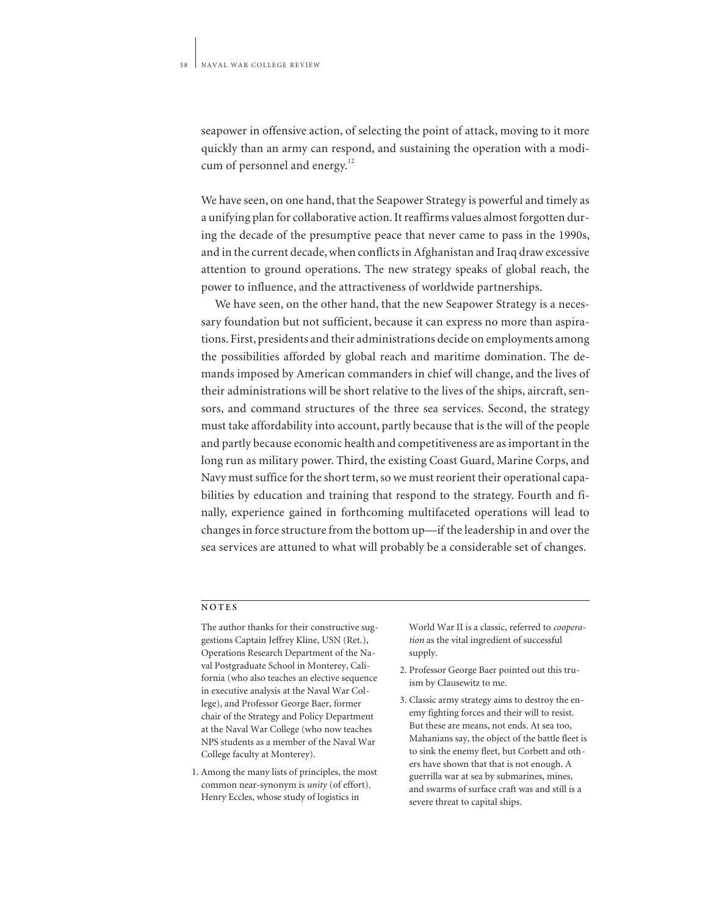seapower in offensive action, of selecting the point of attack, moving to it more quickly than an army can respond, and sustaining the operation with a modicum of personnel and energy. $^{12}$ 

We have seen, on one hand, that the Seapower Strategy is powerful and timely as a unifying plan for collaborative action. It reaffirms values almost forgotten during the decade of the presumptive peace that never came to pass in the 1990s, and in the current decade, when conflicts in Afghanistan and Iraq draw excessive attention to ground operations. The new strategy speaks of global reach, the power to influence, and the attractiveness of worldwide partnerships.

We have seen, on the other hand, that the new Seapower Strategy is a necessary foundation but not sufficient, because it can express no more than aspirations. First, presidents and their administrations decide on employments among the possibilities afforded by global reach and maritime domination. The demands imposed by American commanders in chief will change, and the lives of their administrations will be short relative to the lives of the ships, aircraft, sensors, and command structures of the three sea services. Second, the strategy must take affordability into account, partly because that is the will of the people and partly because economic health and competitiveness are as important in the long run as military power. Third, the existing Coast Guard, Marine Corps, and Navy must suffice for the short term, so we must reorient their operational capabilities by education and training that respond to the strategy. Fourth and finally, experience gained in forthcoming multifaceted operations will lead to changes in force structure from the bottom up—if the leadership in and over the sea services are attuned to what will probably be a considerable set of changes.

#### **NOTES**

The author thanks for their constructive suggestions Captain Jeffrey Kline, USN (Ret.), Operations Research Department of the Naval Postgraduate School in Monterey, California (who also teaches an elective sequence in executive analysis at the Naval War College), and Professor George Baer, former chair of the Strategy and Policy Department at the Naval War College (who now teaches NPS students as a member of the Naval War College faculty at Monterey).

1. Among the many lists of principles, the most common near-synonym is *unity* (of effort). Henry Eccles, whose study of logistics in

World War II is a classic, referred to *cooperation* as the vital ingredient of successful supply.

- 2. Professor George Baer pointed out this truism by Clausewitz to me.
- 3. Classic army strategy aims to destroy the enemy fighting forces and their will to resist. But these are means, not ends. At sea too, Mahanians say, the object of the battle fleet is to sink the enemy fleet, but Corbett and others have shown that that is not enough. A guerrilla war at sea by submarines, mines, and swarms of surface craft was and still is a severe threat to capital ships.